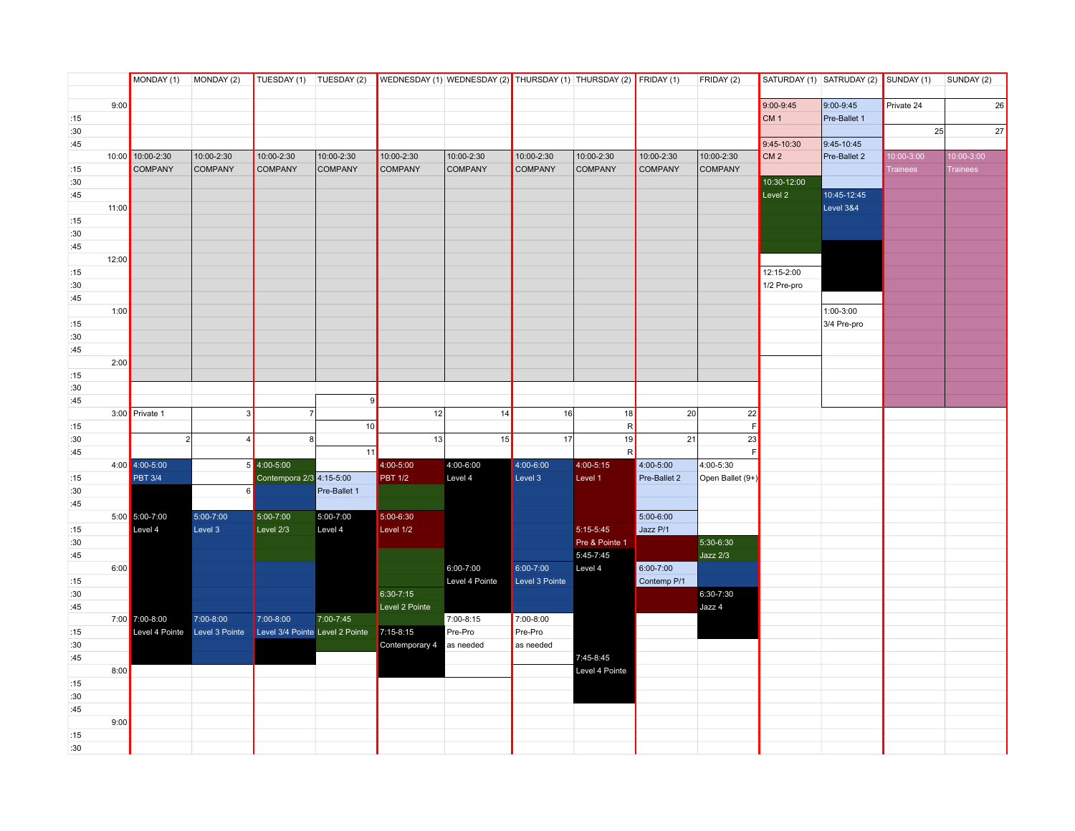|     |       | MONDAY (1) MONDAY (2) |                               | TUESDAY (1) TUESDAY (2)         |              | WEDNESDAY (1) WEDNESDAY (2) THURSDAY (1) THURSDAY (2) FRIDAY (1) |                |                |                |              | FRIDAY (2)       |                 | SATURDAY (1) SATRUDAY (2) SUNDAY (1) |                 | SUNDAY (2)      |
|-----|-------|-----------------------|-------------------------------|---------------------------------|--------------|------------------------------------------------------------------|----------------|----------------|----------------|--------------|------------------|-----------------|--------------------------------------|-----------------|-----------------|
|     |       |                       |                               |                                 |              |                                                                  |                |                |                |              |                  |                 |                                      |                 |                 |
|     | 9:00  |                       |                               |                                 |              |                                                                  |                |                |                |              |                  | 9:00-9:45       | 9:00-9:45                            | Private 24      | 26              |
| :15 |       |                       |                               |                                 |              |                                                                  |                |                |                |              |                  | CM 1            | Pre-Ballet 1                         |                 |                 |
| :30 |       |                       |                               |                                 |              |                                                                  |                |                |                |              |                  |                 |                                      | 25              | 27              |
| :45 |       |                       |                               |                                 |              |                                                                  |                |                |                |              |                  | 9:45-10:30      | 9:45-10:45                           |                 |                 |
|     |       | 10:00 10:00-2:30      | 10:00-2:30                    | 10:00-2:30                      | 10:00-2:30   | 10:00-2:30                                                       | 10:00-2:30     | 10:00-2:30     | 10:00-2:30     | 10:00-2:30   | 10:00-2:30       | CM <sub>2</sub> | Pre-Ballet 2                         | 10:00-3:00      | $10:00 - 3:00$  |
| :15 |       | COMPANY               | <b>COMPANY</b>                | <b>COMPANY</b>                  | COMPANY      | <b>COMPANY</b>                                                   | <b>COMPANY</b> | <b>COMPANY</b> | <b>COMPANY</b> | COMPANY      | <b>COMPANY</b>   |                 |                                      | <b>Trainees</b> | <b>Trainees</b> |
| :30 |       |                       |                               |                                 |              |                                                                  |                |                |                |              |                  | 10:30-12:00     |                                      |                 |                 |
| :45 |       |                       |                               |                                 |              |                                                                  |                |                |                |              |                  | Level 2         | 10:45-12:45                          |                 |                 |
|     | 11:00 |                       |                               |                                 |              |                                                                  |                |                |                |              |                  |                 | Level 3&4                            |                 |                 |
| :15 |       |                       |                               |                                 |              |                                                                  |                |                |                |              |                  |                 |                                      |                 |                 |
| :30 |       |                       |                               |                                 |              |                                                                  |                |                |                |              |                  |                 |                                      |                 |                 |
| :45 |       |                       |                               |                                 |              |                                                                  |                |                |                |              |                  |                 |                                      |                 |                 |
|     | 12:00 |                       |                               |                                 |              |                                                                  |                |                |                |              |                  |                 |                                      |                 |                 |
| :15 |       |                       |                               |                                 |              |                                                                  |                |                |                |              |                  | 12:15-2:00      |                                      |                 |                 |
| :30 |       |                       |                               |                                 |              |                                                                  |                |                |                |              |                  | 1/2 Pre-pro     |                                      |                 |                 |
| :45 |       |                       |                               |                                 |              |                                                                  |                |                |                |              |                  |                 |                                      |                 |                 |
|     | 1:00  |                       |                               |                                 |              |                                                                  |                |                |                |              |                  |                 | $1:00-3:00$                          |                 |                 |
| :15 |       |                       |                               |                                 |              |                                                                  |                |                |                |              |                  |                 | 3/4 Pre-pro                          |                 |                 |
| :30 |       |                       |                               |                                 |              |                                                                  |                |                |                |              |                  |                 |                                      |                 |                 |
| :45 |       |                       |                               |                                 |              |                                                                  |                |                |                |              |                  |                 |                                      |                 |                 |
|     | 2:00  |                       |                               |                                 |              |                                                                  |                |                |                |              |                  |                 |                                      |                 |                 |
| :15 |       |                       |                               |                                 |              |                                                                  |                |                |                |              |                  |                 |                                      |                 |                 |
| :30 |       |                       |                               |                                 |              |                                                                  |                |                |                |              |                  |                 |                                      |                 |                 |
| :45 |       |                       |                               |                                 | 9            |                                                                  |                |                |                |              |                  |                 |                                      |                 |                 |
|     |       | 3:00 Private 1        | 3                             |                                 |              | 12                                                               | 14             | 16             | 18             | 20           | 22               |                 |                                      |                 |                 |
| :15 |       |                       |                               |                                 | 10           |                                                                  |                |                | $\mathsf{R}$   |              | $\mathsf F$      |                 |                                      |                 |                 |
| :30 |       | $\overline{2}$        | 4                             | 8 <sup>1</sup>                  |              | 13                                                               | 15             | 17             | 19             | 21           | 23               |                 |                                      |                 |                 |
| :45 |       |                       |                               |                                 | 11           |                                                                  |                |                | $\mathsf{R}$   |              | F                |                 |                                      |                 |                 |
|     |       | 4:00 4:00-5:00        |                               | $5   4:00 - 5:00$               |              | 4:00-5:00                                                        | 4:00-6:00      | 4:00-6:00      | 4:00-5:15      | 4:00-5:00    | 4:00-5:30        |                 |                                      |                 |                 |
| :15 |       | <b>PBT 3/4</b>        |                               | Contempora 2/3 4:15-5:00        |              | <b>PBT 1/2</b>                                                   | Level 4        | Level 3        | Level 1        | Pre-Ballet 2 | Open Ballet (9+) |                 |                                      |                 |                 |
| :30 |       |                       | 6                             |                                 | Pre-Ballet 1 |                                                                  |                |                |                |              |                  |                 |                                      |                 |                 |
| :45 |       |                       |                               |                                 |              |                                                                  |                |                |                |              |                  |                 |                                      |                 |                 |
|     |       | 5:00 5:00-7:00        | 5:00-7:00                     | 5:00-7:00                       | 5:00-7:00    | 5:00-6:30                                                        |                |                |                | 5:00-6:00    |                  |                 |                                      |                 |                 |
| :15 |       | Level 4               | Level 3                       | Level 2/3                       | Level 4      | Level 1/2                                                        |                |                | $5:15-5:45$    | Jazz P/1     |                  |                 |                                      |                 |                 |
| :30 |       |                       |                               |                                 |              |                                                                  |                |                | Pre & Pointe 1 |              | 5:30-6:30        |                 |                                      |                 |                 |
| :45 |       |                       |                               |                                 |              |                                                                  |                |                | $5:45 - 7:45$  |              | $Jazz$ $2/3$     |                 |                                      |                 |                 |
|     | 6:00  |                       |                               |                                 |              |                                                                  | $6:00 - 7:00$  | 6:00-7:00      | Level 4        | 6:00-7:00    |                  |                 |                                      |                 |                 |
| :15 |       |                       |                               |                                 |              |                                                                  | Level 4 Pointe | Level 3 Pointe |                | Contemp P/1  |                  |                 |                                      |                 |                 |
| :30 |       |                       |                               |                                 |              | 6:30-7:15                                                        |                |                |                |              | 6:30-7:30        |                 |                                      |                 |                 |
| :45 |       |                       |                               |                                 |              | Level 2 Pointe                                                   |                |                |                |              | Jazz 4           |                 |                                      |                 |                 |
|     |       | 7:00 7:00-8:00        | 7:00-8:00                     | 7:00-8:00                       | 7:00-7:45    |                                                                  | 7:00-8:15      | 7:00-8:00      |                |              |                  |                 |                                      |                 |                 |
| :15 |       |                       | Level 4 Pointe Level 3 Pointe | Level 3/4 Pointe Level 2 Pointe |              | 7:15-8:15                                                        | Pre-Pro        | Pre-Pro        |                |              |                  |                 |                                      |                 |                 |
| :30 |       |                       |                               |                                 |              | Contemporary 4                                                   | as needed      | as needed      |                |              |                  |                 |                                      |                 |                 |
| :45 |       |                       |                               |                                 |              |                                                                  |                |                | 7:45-8:45      |              |                  |                 |                                      |                 |                 |
|     | 8:00  |                       |                               |                                 |              |                                                                  |                |                | Level 4 Pointe |              |                  |                 |                                      |                 |                 |
| :15 |       |                       |                               |                                 |              |                                                                  |                |                |                |              |                  |                 |                                      |                 |                 |
| :30 |       |                       |                               |                                 |              |                                                                  |                |                |                |              |                  |                 |                                      |                 |                 |
| :45 |       |                       |                               |                                 |              |                                                                  |                |                |                |              |                  |                 |                                      |                 |                 |
|     | 9:00  |                       |                               |                                 |              |                                                                  |                |                |                |              |                  |                 |                                      |                 |                 |
| :15 |       |                       |                               |                                 |              |                                                                  |                |                |                |              |                  |                 |                                      |                 |                 |
| :30 |       |                       |                               |                                 |              |                                                                  |                |                |                |              |                  |                 |                                      |                 |                 |